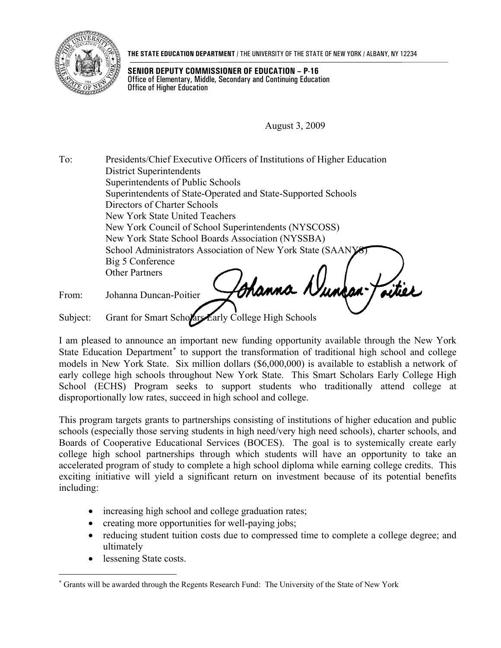

**THE STATE EDUCATION DEPARTMENT** / THE UNIVERSITY OF THE STATE OF NEW YORK / ALBANY, NY 12234

**SENIOR DEPUTY COMMISSIONER OF EDUCATION – P-16**  Office of Elementary, Middle, Secondary and Continuing Education Office of Higher Education

August 3, 2009

To: Presidents/Chief Executive Officers of Institutions of Higher Education District Superintendents Superintendents of Public Schools Superintendents of State-Operated and State-Supported Schools Directors of Charter Schools New York State United Teachers New York Council of School Superintendents (NYSCOSS) New York State School Boards Association (NYSSBA) School Administrators Association of New York State (SAAN) Big 5 Conference Other Partners Channa N aitiet

From: Johanna Duncan-Poitier

Subject: Grant for Smart Scholars Early College High Schools

I am pleased to announce an important new funding opportunity available through the New York State Education Department<sup>\*</sup> to support the transformation of traditional high school and college models in New York State. Six million dollars (\$6,000,000) is available to establish a network of early college high schools throughout New York State. This Smart Scholars Early College High School (ECHS) Program seeks to support students who traditionally attend college at disproportionally low rates, succeed in high school and college.

This program targets grants to partnerships consisting of institutions of higher education and public schools (especially those serving students in high need/very high need schools), charter schools, and Boards of Cooperative Educational Services (BOCES). The goal is to systemically create early college high school partnerships through which students will have an opportunity to take an accelerated program of study to complete a high school diploma while earning college credits. This exciting initiative will yield a significant return on investment because of its potential benefits including:

- increasing high school and college graduation rates;
- creating more opportunities for well-paying jobs;
- reducing student tuition costs due to compressed time to complete a college degree; and ultimately
- lessening State costs.

<span id="page-0-0"></span> $\overline{a}$ ∗ Grants will be awarded through the Regents Research Fund: The University of the State of New York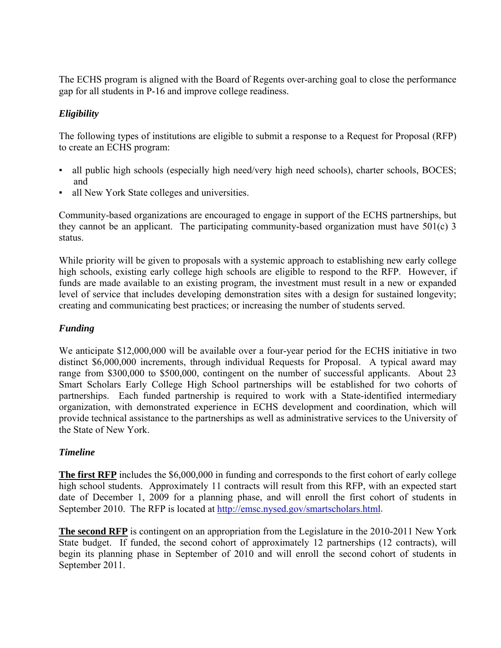The ECHS program is aligned with the Board of Regents over-arching goal to close the performance gap for all students in P-16 and improve college readiness.

# *Eligibility*

The following types of institutions are eligible to submit a response to a Request for Proposal (RFP) to create an ECHS program:

- all public high schools (especially high need/very high need schools), charter schools, BOCES; and
- all New York State colleges and universities.

Community-based organizations are encouraged to engage in support of the ECHS partnerships, but they cannot be an applicant. The participating community-based organization must have 501(c) 3 status.

While priority will be given to proposals with a systemic approach to establishing new early college high schools, existing early college high schools are eligible to respond to the RFP. However, if funds are made available to an existing program, the investment must result in a new or expanded level of service that includes developing demonstration sites with a design for sustained longevity; creating and communicating best practices; or increasing the number of students served.

# *Funding*

We anticipate \$12,000,000 will be available over a four-year period for the ECHS initiative in two distinct \$6,000,000 increments, through individual Requests for Proposal. A typical award may range from \$300,000 to \$500,000, contingent on the number of successful applicants. About 23 Smart Scholars Early College High School partnerships will be established for two cohorts of partnerships. Each funded partnership is required to work with a State-identified intermediary organization, with demonstrated experience in ECHS development and coordination, which will provide technical assistance to the partnerships as well as administrative services to the University of the State of New York.

## *Timeline*

**The first RFP** includes the \$6,000,000 in funding and corresponds to the first cohort of early college high school students. Approximately 11 contracts will result from this RFP, with an expected start date of December 1, 2009 for a planning phase, and will enroll the first cohort of students in September 2010. The RFP is located at <http://emsc.nysed.gov/smartscholars.html>.

**The second RFP** is contingent on an appropriation from the Legislature in the 2010-2011 New York State budget. If funded, the second cohort of approximately 12 partnerships (12 contracts), will begin its planning phase in September of 2010 and will enroll the second cohort of students in September 2011.